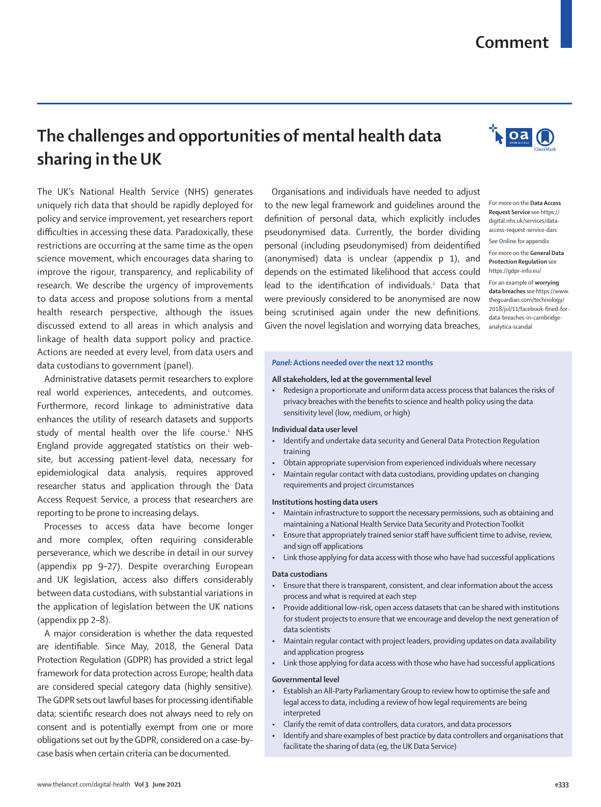# **Comment**

The UK's National Health Service (NHS) generates uniquely rich data that should be rapidly deployed for policy and service improvement, yet researchers report difficulties in accessing these data. Paradoxically, these restrictions are occurring at the same time as the open science movement, which encourages data sharing to improve the rigour, transparency, and replicability of research. We describe the urgency of improvements to data access and propose solutions from a mental health research perspective, although the issues discussed extend to all areas in which analysis and linkage of health data support policy and practice. Actions are needed at every level, from data users and

**sharing in the UK**

**The challenges and opportunities of mental health data** 

Administrative datasets permit researchers to explore real world experiences, antecedents, and outcomes. Furthermore, record linkage to administrative data enhances the utility of research datasets and supports study of mental health over the life course.<sup>1</sup> NHS England provide aggregated statistics on their website, but accessing patient-level data, necessary for epidemiological data analysis, requires approved researcher status and application through the [Data](https://digital.nhs.uk/services/data-access-request-service-dars)  [Access Request Service,](https://digital.nhs.uk/services/data-access-request-service-dars) a process that researchers are reporting to be prone to increasing delays.

data custodians to government (panel).

Processes to access data have become longer and more complex, often requiring considerable perseverance, which we describe in detail in our survey (appendix pp 9–27). Despite overarching European and UK legislation, access also differs considerably between data custodians, with substantial variations in the application of legislation between the UK nations (appendix pp 2–8).

A major consideration is whether the data requested are identifiable. Since May, 2018, the [General Data](https://gdpr-info.eu/)  [Protection Regulation](https://gdpr-info.eu/) (GDPR) has provided a strict legal framework for data protection across Europe; health data are considered special category data (highly sensitive). The GDPR sets out lawful bases for processing identifiable data; scientific research does not always need to rely on consent and is potentially exempt from one or more obligations set out by the GDPR, considered on a case-bycase basis when certain criteria can be documented.

Organisations and individuals have needed to adjust to the new legal framework and guidelines around the definition of personal data, which explicitly includes pseudonymised data. Currently, the border dividing personal (including pseudonymised) from deidentified (anonymised) data is unclear (appendix p 1), and depends on the estimated likelihood that access could lead to the identification of individuals.<sup>2</sup> Data that were previously considered to be anonymised are now being scrutinised again under the new definitions. Given the novel legislation and [worrying data breaches](https://www.theguardian.com/technology/2018/jul/11/facebook-fined-for-data-breaches-in-cambridge-analytica-scandal),

## *Panel:* **Actions needed over the next 12 months**

#### **All stakeholders, led at the governmental level**

• Redesign a proportionate and uniform data access process that balances the risks of privacy breaches with the benefits to science and health policy using the data sensitivity level (low, medium, or high)

## **Individual data user level**

- Identify and undertake data security and General Data Protection Regulation training
- Obtain appropriate supervision from experienced individuals where necessary
- Maintain regular contact with data custodians, providing updates on changing requirements and project circumstances

## **Institutions hosting data users**

- Maintain infrastructure to support the necessary permissions, such as obtaining and maintaining a National Health Service Data Security and Protection Toolkit
- Ensure that appropriately trained senior staff have sufficient time to advise, review, and sign off applications
- Link those applying for data access with those who have had successful applications

### **Data custodians**

- Ensure that there is transparent, consistent, and clear information about the access process and what is required at each step
- Provide additional low-risk, open access datasets that can be shared with institutions for student projects to ensure that we encourage and develop the next generation of data scientists
- Maintain regular contact with project leaders, providing updates on data availability and application progress
- Link those applying for data access with those who have had successful applications

### **Governmental level**

- Establish an All-Party Parliamentary Group to review how to optimise the safe and legal access to data, including a review of how legal requirements are being interpreted
- Clarify the remit of data controllers, data curators, and data processors
- Identify and share examples of best practice by data controllers and organisations that facilitate the sharing of data (eg, the UK Data Service)



For more on the **Data Access Request Service** see [https://](https://digital.nhs.uk/services/data-access-request-service-dars) [digital.nhs.uk/services/data](https://digital.nhs.uk/services/data-access-request-service-dars)[access-request-service-dars](https://digital.nhs.uk/services/data-access-request-service-dars) See **Online** for appendix For more on the **General Data Protection Regulation** see <https://gdpr-info.eu/> For an example of **worrying data breaches** see [https://www.](https://www.theguardian.com/technology/2018/jul/11/facebook-fined-for-data-breaches-in-cambridge-analytica-scandal) [theguardian.com/technology/](https://www.theguardian.com/technology/2018/jul/11/facebook-fined-for-data-breaches-in-cambridge-analytica-scandal) [2018/jul/11/facebook-fined-for](https://www.theguardian.com/technology/2018/jul/11/facebook-fined-for-data-breaches-in-cambridge-analytica-scandal)[data-breaches-in-cambridge](https://www.theguardian.com/technology/2018/jul/11/facebook-fined-for-data-breaches-in-cambridge-analytica-scandal)[analytica-scandal](https://www.theguardian.com/technology/2018/jul/11/facebook-fined-for-data-breaches-in-cambridge-analytica-scandal)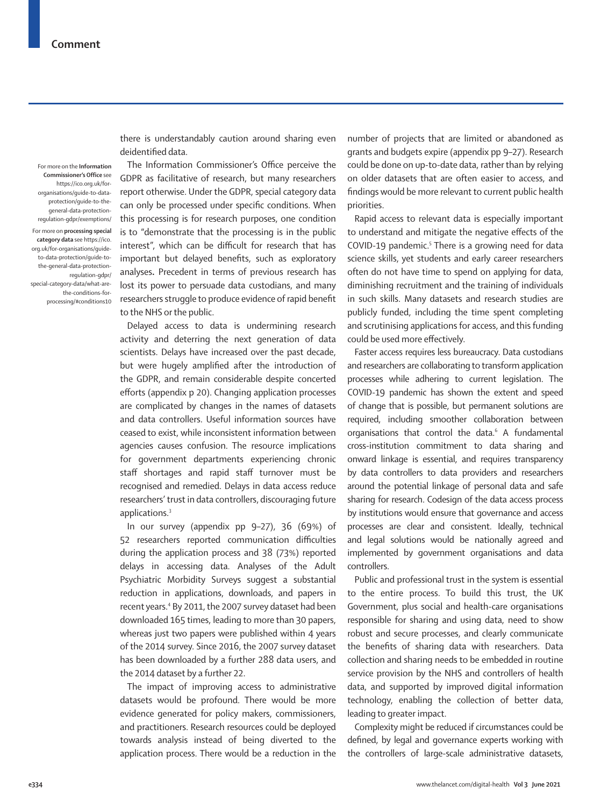For more on the **Information Commissioner's Office** see [https://ico.org.uk/for](https://ico.org.uk/for-organisations/guide-to-data-protection/guide-to-the-general-data-protection-regulation-gdpr/exemptions/)[organisations/guide-to-data](https://ico.org.uk/for-organisations/guide-to-data-protection/guide-to-the-general-data-protection-regulation-gdpr/exemptions/)[protection/guide-to-the](https://ico.org.uk/for-organisations/guide-to-data-protection/guide-to-the-general-data-protection-regulation-gdpr/exemptions/)[general-data-protection](https://ico.org.uk/for-organisations/guide-to-data-protection/guide-to-the-general-data-protection-regulation-gdpr/exemptions/)[regulation-gdpr/exemptions/](https://ico.org.uk/for-organisations/guide-to-data-protection/guide-to-the-general-data-protection-regulation-gdpr/exemptions/)

For more on **processing special category data** see [https://ico.](https://ico.org.uk/for-organisations/guide-to-data-protection/guide-to-the-general-data-protection-regulation-gdpr/special-category-data/what-are-the-conditions-for-processing/#conditions10) [org.uk/for-organisations/guide](https://ico.org.uk/for-organisations/guide-to-data-protection/guide-to-the-general-data-protection-regulation-gdpr/special-category-data/what-are-the-conditions-for-processing/#conditions10)[to-data-protection/guide-to](https://ico.org.uk/for-organisations/guide-to-data-protection/guide-to-the-general-data-protection-regulation-gdpr/special-category-data/what-are-the-conditions-for-processing/#conditions10)[the-general-data-protection](https://ico.org.uk/for-organisations/guide-to-data-protection/guide-to-the-general-data-protection-regulation-gdpr/special-category-data/what-are-the-conditions-for-processing/#conditions10)[regulation-gdpr/](https://ico.org.uk/for-organisations/guide-to-data-protection/guide-to-the-general-data-protection-regulation-gdpr/special-category-data/what-are-the-conditions-for-processing/#conditions10) [special-category-data/what-are](https://ico.org.uk/for-organisations/guide-to-data-protection/guide-to-the-general-data-protection-regulation-gdpr/special-category-data/what-are-the-conditions-for-processing/#conditions10)[the-conditions-for](https://ico.org.uk/for-organisations/guide-to-data-protection/guide-to-the-general-data-protection-regulation-gdpr/special-category-data/what-are-the-conditions-for-processing/#conditions10)[processing/#conditions10](https://ico.org.uk/for-organisations/guide-to-data-protection/guide-to-the-general-data-protection-regulation-gdpr/special-category-data/what-are-the-conditions-for-processing/#conditions10) there is understandably caution around sharing even deidentified data.

The [Information Commissioner's Office](https://ico.org.uk/for-organisations/guide-to-data-protection/guide-to-the-general-data-protection-regulation-gdpr/exemptions/) perceive the GDPR as facilitative of research, but many researchers report otherwise. Under the GDPR, [special category data](https://ico.org.uk/for-organisations/guide-to-data-protection/guide-to-the-general-data-protection-regulation-gdpr/special-category-data/what-are-the-conditions-for-processing/#conditions10) can only be processed under specific conditions. When this processing is for research purposes, one condition is to "demonstrate that the processing is in the public interest", which can be difficult for research that has important but delayed benefits, such as exploratory analyses**.** Precedent in terms of previous research has lost its power to persuade data custodians, and many researchers struggle to produce evidence of rapid benefit to the NHS or the public.

Delayed access to data is undermining research activity and deterring the next generation of data scientists. Delays have increased over the past decade, but were hugely amplified after the introduction of the GDPR, and remain considerable despite concerted efforts (appendix p 20). Changing application processes are complicated by changes in the names of datasets and data controllers. Useful information sources have ceased to exist, while inconsistent information between agencies causes confusion. The resource implications for government departments experiencing chronic staff shortages and rapid staff turnover must be recognised and remedied. Delays in data access reduce researchers' trust in data controllers, discouraging future applications.<sup>3</sup>

In our survey (appendix pp 9–27), 36 (69%) of 52 researchers reported communication difficulties during the application process and 38 (73%) reported delays in accessing data. Analyses of the Adult Psychiatric Morbidity Surveys suggest a substantial reduction in applications, downloads, and papers in recent years.4 By 2011, the 2007 survey dataset had been downloaded 165 times, leading to more than 30 papers, whereas just two papers were published within 4 years of the 2014 survey. Since 2016, the 2007 survey dataset has been downloaded by a further 288 data users, and the 2014 dataset by a further 22.

The impact of improving access to administrative datasets would be profound. There would be more evidence generated for policy makers, commissioners, and practitioners. Research resources could be deployed towards analysis instead of being diverted to the application process. There would be a reduction in the number of projects that are limited or abandoned as grants and budgets expire (appendix pp 9–27). Research could be done on up-to-date data, rather than by relying on older datasets that are often easier to access, and findings would be more relevant to current public health priorities.

Rapid access to relevant data is especially important to understand and mitigate the negative effects of the COVID-19 pandemic.<sup>5</sup> There is a growing need for data science skills, yet students and early career researchers often do not have time to spend on applying for data, diminishing recruitment and the training of individuals in such skills. Many datasets and research studies are publicly funded, including the time spent completing and scrutinising applications for access, and this funding could be used more effectively.

Faster access requires less bureaucracy. Data custodians and researchers are collaborating to transform application processes while adhering to current legislation. The COVID-19 pandemic has shown the extent and speed of change that is possible, but permanent solutions are required, including smoother collaboration between organisations that control the data.<sup>6</sup> A fundamental cross-institution commitment to data sharing and onward linkage is essential, and requires transparency by data controllers to data providers and researchers around the potential linkage of personal data and safe sharing for research. Codesign of the data access process by institutions would ensure that governance and access processes are clear and consistent. Ideally, technical and legal solutions would be nationally agreed and implemented by government organisations and data controllers.

Public and professional trust in the system is essential to the entire process. To build this trust, the UK Government, plus social and health-care organisations responsible for sharing and using data, need to show robust and secure processes, and clearly communicate the benefits of sharing data with researchers. Data collection and sharing needs to be embedded in routine service provision by the NHS and controllers of health data, and supported by improved digital information technology, enabling the collection of better data, leading to greater impact.

Complexity might be reduced if circumstances could be defined, by legal and governance experts working with the controllers of large-scale administrative datasets,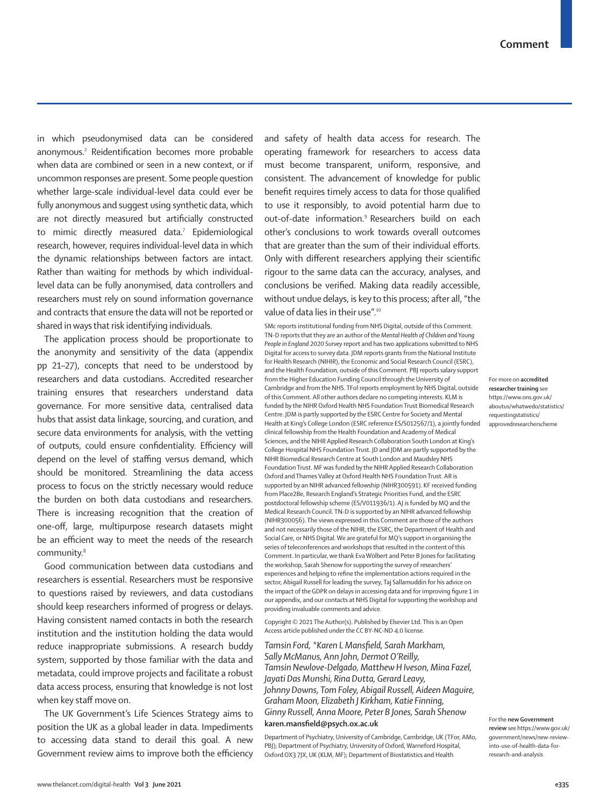in which pseudonymised data can be considered anonymous.2 Reidentification becomes more probable when data are combined or seen in a new context, or if uncommon responses are present. Some people question whether large-scale individual-level data could ever be fully anonymous and suggest using synthetic data, which are not directly measured but artificially constructed to mimic directly measured data.7 Epidemiological research, however, requires individual-level data in which the dynamic relationships between factors are intact. Rather than waiting for methods by which individuallevel data can be fully anonymised, data controllers and researchers must rely on sound information governance and contracts that ensure the data will not be reported or shared in ways that risk identifying individuals.

The application process should be proportionate to the anonymity and sensitivity of the data (appendix pp 21–27), concepts that need to be understood by researchers and data custodians. [Accredited researcher](https://www.ons.gov.uk/aboutus/whatwedo/statistics/requestingstatistics/approvedresearcherscheme)  [training](https://www.ons.gov.uk/aboutus/whatwedo/statistics/requestingstatistics/approvedresearcherscheme) ensures that researchers understand data governance. For more sensitive data, centralised data hubs that assist data linkage, sourcing, and curation, and secure data environments for analysis, with the vetting of outputs, could ensure confidentiality. Efficiency will depend on the level of staffing versus demand, which should be monitored. Streamlining the data access process to focus on the strictly necessary would reduce the burden on both data custodians and researchers. There is increasing recognition that the creation of one-off, large, multipurpose research datasets might be an efficient way to meet the needs of the research community.<sup>8</sup>

Good communication between data custodians and researchers is essential. Researchers must be responsive to questions raised by reviewers, and data custodians should keep researchers informed of progress or delays. Having consistent named contacts in both the research institution and the institution holding the data would reduce inappropriate submissions. A research buddy system, supported by those familiar with the data and metadata, could improve projects and facilitate a robust data access process, ensuring that knowledge is not lost when key staff move on.

The UK Government's Life Sciences Strategy aims to position the UK as a global leader in data. Impediments to accessing data stand to derail this goal. A [new](https://www.gov.uk/government/news/new-review-into-use-of-health-data-for-research-and-analysis)  [Government review](https://www.gov.uk/government/news/new-review-into-use-of-health-data-for-research-and-analysis) aims to improve both the efficiency and safety of health data access for research. The operating framework for researchers to access data must become transparent, uniform, responsive, and consistent. The advancement of knowledge for public benefit requires timely access to data for those qualified to use it responsibly, to avoid potential harm due to out-of-date information.9 Researchers build on each other's conclusions to work towards overall outcomes that are greater than the sum of their individual efforts. Only with different researchers applying their scientific rigour to the same data can the accuracy, analyses, and conclusions be verified. Making data readily accessible, without undue delays, is key to this process; after all, "the value of data lies in their use".<sup>10</sup>

SMc reports institutional funding from NHS Digital, outside of this Comment. TN-D reports that they are an author of the *Mental Health of Children and Young People in England 2020 Survey* report and has two applications submitted to NHS Digital for access to survey data. JDM reports grants from the National Institute for Health Research (NIHIR), the Economic and Social Research Council (ESRC), and the Health Foundation, outside of this Comment. PBJ reports salary support from the Higher Education Funding Council through the University of Cambridge and from the NHS. TFol reports employment by NHS Digital, outside of this Comment. All other authors declare no competing interests. KLM is funded by the NIHR Oxford Health NHS Foundation Trust Biomedical Research Centre. JDM is partly supported by the ESRC Centre for Society and Mental Health at King's College London (ESRC reference ES/S012567/1), a jointly funded clinical fellowship from the Health Foundation and Academy of Medical Sciences, and the NIHR Applied Research Collaboration South London at King's College Hospital NHS Foundation Trust. JD and JDM are partly supported by the NIHR Biomedical Research Centre at South London and Maudsley NHS Foundation Trust. MF was funded by the NIHR Applied Research Collaboration Oxford and Thames Valley at Oxford Health NHS Foundation Trust. AR is supported by an NIHR advanced fellowship (NIHR300591). KF received funding from Place2Be, Research England's Strategic Priorities Fund, and the ESRC postdoctoral fellowship scheme (ES/V011936/1). AJ is funded by MQ and the Medical Research Council. TN-D is supported by an NIHR advanced fellowship (NIHR300056). The views expressed in this Comment are those of the authors and not necessarily those of the NIHR, the ESRC, the Department of Health and Social Care, or NHS Digital. We are grateful for MQ's support in organising the series of teleconferences and workshops that resulted in the content of this Comment. In particular, we thank Eva Wölbert and Peter B Jones for facilitating the workshop, Sarah Shenow for supporting the survey of researchers' experiences and helping to refine the implementation actions required in the sector, Abigail Russell for leading the survey, Taj Sallamuddin for his advice on the impact of the GDPR on delays in accessing data and for improving figure 1 in our appendix, and our contacts at NHS Digital for supporting the workshop and providing invaluable comments and advice.

Copyright © 2021 The Author(s). Published by Elsevier Ltd. This is an Open Access article published under the CC BY-NC-ND 4.0 license.

*Tamsin Ford, \*Karen L Mansfield, Sarah Markham, Sally McManus, Ann John, Dermot O'Reilly, Tamsin Newlove-Delgado, Matthew H Iveson, Mina Fazel, Jayati Das Munshi, Rina Dutta, Gerard Leavy, Johnny Downs, Tom Foley, Abigail Russell, Aideen Maguire, Graham Moon, Elizabeth J Kirkham, Katie Finning, Ginny Russell, Anna Moore, Peter B Jones, Sarah Shenow* **karen.mansfield@psych.ox.ac.uk**

Department of Psychiatry, University of Cambridge, Cambridge, UK (TFor, AMo, PBJ); Department of Psychiatry, University of Oxford, Warneford Hospital, Oxford OX3 7JX, UK (KLM, MF); Department of Biostatistics and Health

For more on **accredited researcher training** see [https://www.ons.gov.uk/](https://www.ons.gov.uk/aboutus/whatwedo/statistics/requestingstatistics/approvedresearcherscheme) [aboutus/whatwedo/statistics/](https://www.ons.gov.uk/aboutus/whatwedo/statistics/requestingstatistics/approvedresearcherscheme) [requestingstatistics/](https://www.ons.gov.uk/aboutus/whatwedo/statistics/requestingstatistics/approvedresearcherscheme) [approvedresearcherscheme](https://www.ons.gov.uk/aboutus/whatwedo/statistics/requestingstatistics/approvedresearcherscheme)

For the **new Government review** see [https://www.gov.uk/](https://www.gov.uk/government/news/new-review-into-use-of-health-data-for-research-and-analysis) [government/news/new-review](https://www.gov.uk/government/news/new-review-into-use-of-health-data-for-research-and-analysis)[into-use-of-health-data-for](https://www.gov.uk/government/news/new-review-into-use-of-health-data-for-research-and-analysis)[research-and-analysis](https://www.gov.uk/government/news/new-review-into-use-of-health-data-for-research-and-analysis)